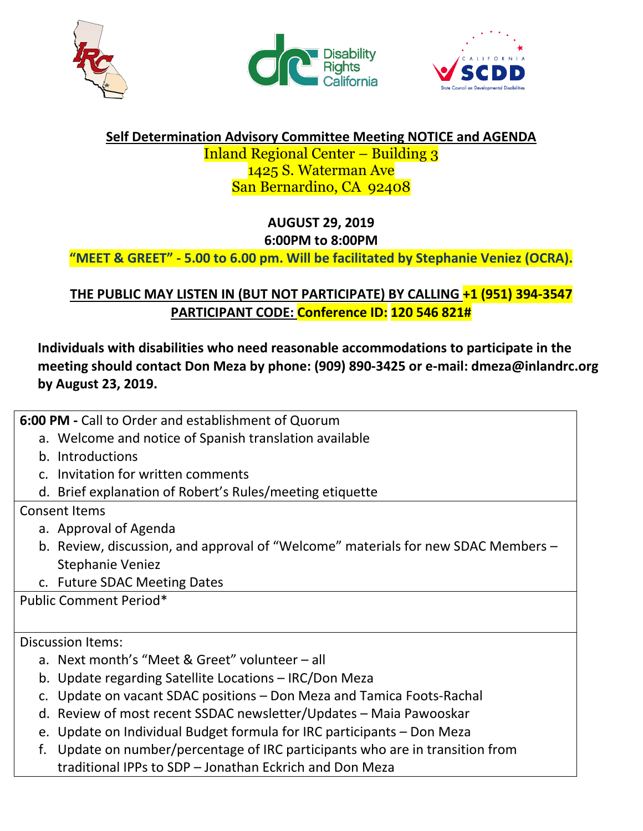





## **Self Determination Advisory Committee Meeting NOTICE and AGENDA** Inland Regional Center – Building 3 1425 S. Waterman Ave San Bernardino, CA 92408

## **AUGUST 29, 2019**

**6:00PM to 8:00PM**

## **"MEET & GREET" - 5.00 to 6.00 pm. Will be facilitated by Stephanie Veniez (OCRA).**

## **THE PUBLIC MAY LISTEN IN (BUT NOT PARTICIPATE) BY CALLING +1 (951) 394-3547 PARTICIPANT CODE: Conference ID: 120 546 821#**

**Individuals with disabilities who need reasonable accommodations to participate in the meeting should contact Don Meza by phone: (909) 890-3425 or e-mail: dmeza@inlandrc.org by August 23, 2019.**

**6:00 PM -** Call to Order and establishment of Quorum

- a. Welcome and notice of Spanish translation available
- b. Introductions
- c. Invitation for written comments
- d. Brief explanation of Robert's Rules/meeting etiquette

Consent Items

- a. Approval of Agenda
- b. Review, discussion, and approval of "Welcome" materials for new SDAC Members Stephanie Veniez
- c. Future SDAC Meeting Dates

Public Comment Period\*

Discussion Items:

- a. Next month's "Meet & Greet" volunteer all
- b. Update regarding Satellite Locations IRC/Don Meza
- c. Update on vacant SDAC positions Don Meza and Tamica Foots-Rachal
- d. Review of most recent SSDAC newsletter/Updates Maia Pawooskar
- e. Update on Individual Budget formula for IRC participants Don Meza
- f. Update on number/percentage of IRC participants who are in transition from traditional IPPs to SDP – Jonathan Eckrich and Don Meza